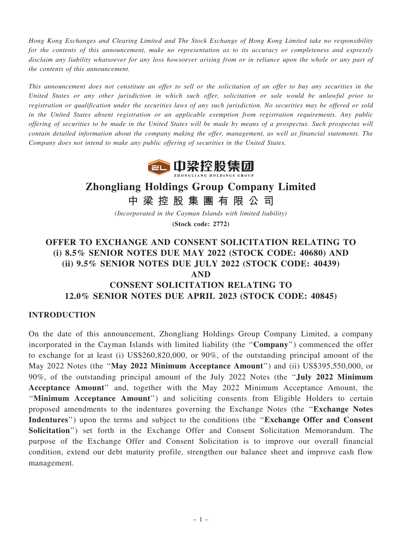Hong Kong Exchanges and Clearing Limited and The Stock Exchange of Hong Kong Limited take no responsibility for the contents of this announcement, make no representation as to its accuracy or completeness and expressly disclaim any liability whatsoever for any loss howsoever arising from or in reliance upon the whole or any part of the contents of this announcement.

This announcement does not constitute an offer to sell or the solicitation of an offer to buy any securities in the United States or any other jurisdiction in which such offer, solicitation or sale would be unlawful prior to registration or qualification under the securities laws of any such jurisdiction. No securities may be offered or sold in the United States absent registration or an applicable exemption from registration requirements. Any public offering of securities to be made in the United States will be made by means of a prospectus. Such prospectus will contain detailed information about the company making the offer, management, as well as financial statements. The Company does not intend to make any public offering of securities in the United States.



# Zhongliang Holdings Group Company Limited

中 梁 控 股 集 團 有 限 公 司

(Incorporated in the Cayman Islands with limited liability) (Stock code: 2772)

# OFFER TO EXCHANGE AND CONSENT SOLICITATION RELATING TO (i) 8.5% SENIOR NOTES DUE MAY 2022 (STOCK CODE: 40680) AND (ii) 9.5% SENIOR NOTES DUE JULY 2022 (STOCK CODE: 40439) AND CONSENT SOLICITATION RELATING TO 12.0% SENIOR NOTES DUE APRIL 2023 (STOCK CODE: 40845)

#### INTRODUCTION

On the date of this announcement, Zhongliang Holdings Group Company Limited, a company incorporated in the Cayman Islands with limited liability (the "Company") commenced the offer to exchange for at least (i) US\$260,820,000, or 90%, of the outstanding principal amount of the May 2022 Notes (the ''May 2022 Minimum Acceptance Amount'') and (ii) US\$395,550,000, or 90%, of the outstanding principal amount of the July 2022 Notes (the ''July 2022 Minimum Acceptance Amount'' and, together with the May 2022 Minimum Acceptance Amount, the "Minimum Acceptance Amount") and soliciting consents from Eligible Holders to certain proposed amendments to the indentures governing the Exchange Notes (the ''Exchange Notes Indentures") upon the terms and subject to the conditions (the "Exchange Offer and Consent") Solicitation'') set forth in the Exchange Offer and Consent Solicitation Memorandum. The purpose of the Exchange Offer and Consent Solicitation is to improve our overall financial condition, extend our debt maturity profile, strengthen our balance sheet and improve cash flow management.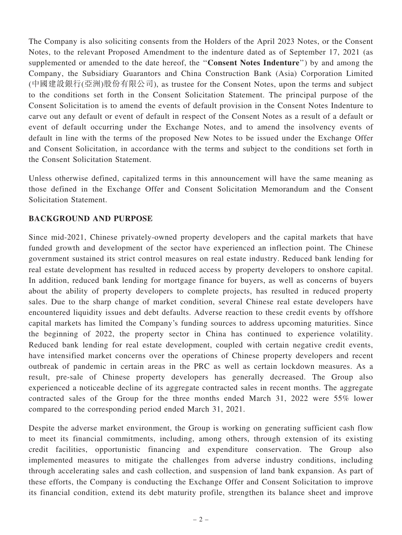The Company is also soliciting consents from the Holders of the April 2023 Notes, or the Consent Notes, to the relevant Proposed Amendment to the indenture dated as of September 17, 2021 (as supplemented or amended to the date hereof, the ''Consent Notes Indenture'') by and among the Company, the Subsidiary Guarantors and China Construction Bank (Asia) Corporation Limited (中國建設銀行(亞洲)股份有限公司), as trustee for the Consent Notes, upon the terms and subject to the conditions set forth in the Consent Solicitation Statement. The principal purpose of the Consent Solicitation is to amend the events of default provision in the Consent Notes Indenture to carve out any default or event of default in respect of the Consent Notes as a result of a default or event of default occurring under the Exchange Notes, and to amend the insolvency events of default in line with the terms of the proposed New Notes to be issued under the Exchange Offer and Consent Solicitation, in accordance with the terms and subject to the conditions set forth in the Consent Solicitation Statement.

Unless otherwise defined, capitalized terms in this announcement will have the same meaning as those defined in the Exchange Offer and Consent Solicitation Memorandum and the Consent Solicitation Statement.

## BACKGROUND AND PURPOSE

Since mid-2021, Chinese privately-owned property developers and the capital markets that have funded growth and development of the sector have experienced an inflection point. The Chinese government sustained its strict control measures on real estate industry. Reduced bank lending for real estate development has resulted in reduced access by property developers to onshore capital. In addition, reduced bank lending for mortgage finance for buyers, as well as concerns of buyers about the ability of property developers to complete projects, has resulted in reduced property sales. Due to the sharp change of market condition, several Chinese real estate developers have encountered liquidity issues and debt defaults. Adverse reaction to these credit events by offshore capital markets has limited the Company's funding sources to address upcoming maturities. Since the beginning of 2022, the property sector in China has continued to experience volatility. Reduced bank lending for real estate development, coupled with certain negative credit events, have intensified market concerns over the operations of Chinese property developers and recent outbreak of pandemic in certain areas in the PRC as well as certain lockdown measures. As a result, pre-sale of Chinese property developers has generally decreased. The Group also experienced a noticeable decline of its aggregate contracted sales in recent months. The aggregate contracted sales of the Group for the three months ended March 31, 2022 were 55% lower compared to the corresponding period ended March 31, 2021.

Despite the adverse market environment, the Group is working on generating sufficient cash flow to meet its financial commitments, including, among others, through extension of its existing credit facilities, opportunistic financing and expenditure conservation. The Group also implemented measures to mitigate the challenges from adverse industry conditions, including through accelerating sales and cash collection, and suspension of land bank expansion. As part of these efforts, the Company is conducting the Exchange Offer and Consent Solicitation to improve its financial condition, extend its debt maturity profile, strengthen its balance sheet and improve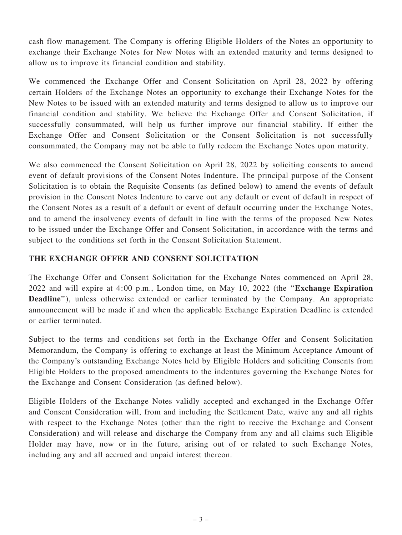cash flow management. The Company is offering Eligible Holders of the Notes an opportunity to exchange their Exchange Notes for New Notes with an extended maturity and terms designed to allow us to improve its financial condition and stability.

We commenced the Exchange Offer and Consent Solicitation on April 28, 2022 by offering certain Holders of the Exchange Notes an opportunity to exchange their Exchange Notes for the New Notes to be issued with an extended maturity and terms designed to allow us to improve our financial condition and stability. We believe the Exchange Offer and Consent Solicitation, if successfully consummated, will help us further improve our financial stability. If either the Exchange Offer and Consent Solicitation or the Consent Solicitation is not successfully consummated, the Company may not be able to fully redeem the Exchange Notes upon maturity.

We also commenced the Consent Solicitation on April 28, 2022 by soliciting consents to amend event of default provisions of the Consent Notes Indenture. The principal purpose of the Consent Solicitation is to obtain the Requisite Consents (as defined below) to amend the events of default provision in the Consent Notes Indenture to carve out any default or event of default in respect of the Consent Notes as a result of a default or event of default occurring under the Exchange Notes, and to amend the insolvency events of default in line with the terms of the proposed New Notes to be issued under the Exchange Offer and Consent Solicitation, in accordance with the terms and subject to the conditions set forth in the Consent Solicitation Statement.

## THE EXCHANGE OFFER AND CONSENT SOLICITATION

The Exchange Offer and Consent Solicitation for the Exchange Notes commenced on April 28, 2022 and will expire at 4:00 p.m., London time, on May 10, 2022 (the ''Exchange Expiration Deadline"), unless otherwise extended or earlier terminated by the Company. An appropriate announcement will be made if and when the applicable Exchange Expiration Deadline is extended or earlier terminated.

Subject to the terms and conditions set forth in the Exchange Offer and Consent Solicitation Memorandum, the Company is offering to exchange at least the Minimum Acceptance Amount of the Company's outstanding Exchange Notes held by Eligible Holders and soliciting Consents from Eligible Holders to the proposed amendments to the indentures governing the Exchange Notes for the Exchange and Consent Consideration (as defined below).

Eligible Holders of the Exchange Notes validly accepted and exchanged in the Exchange Offer and Consent Consideration will, from and including the Settlement Date, waive any and all rights with respect to the Exchange Notes (other than the right to receive the Exchange and Consent Consideration) and will release and discharge the Company from any and all claims such Eligible Holder may have, now or in the future, arising out of or related to such Exchange Notes, including any and all accrued and unpaid interest thereon.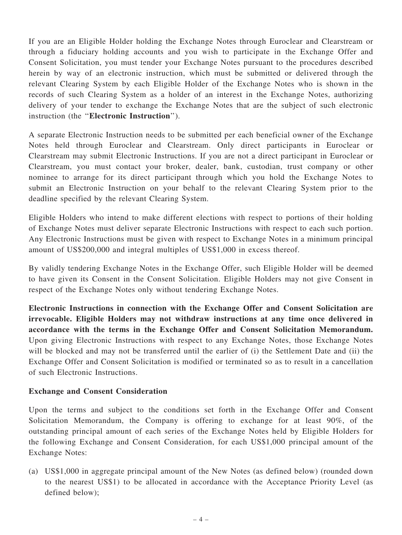If you are an Eligible Holder holding the Exchange Notes through Euroclear and Clearstream or through a fiduciary holding accounts and you wish to participate in the Exchange Offer and Consent Solicitation, you must tender your Exchange Notes pursuant to the procedures described herein by way of an electronic instruction, which must be submitted or delivered through the relevant Clearing System by each Eligible Holder of the Exchange Notes who is shown in the records of such Clearing System as a holder of an interest in the Exchange Notes, authorizing delivery of your tender to exchange the Exchange Notes that are the subject of such electronic instruction (the ''Electronic Instruction'').

A separate Electronic Instruction needs to be submitted per each beneficial owner of the Exchange Notes held through Euroclear and Clearstream. Only direct participants in Euroclear or Clearstream may submit Electronic Instructions. If you are not a direct participant in Euroclear or Clearstream, you must contact your broker, dealer, bank, custodian, trust company or other nominee to arrange for its direct participant through which you hold the Exchange Notes to submit an Electronic Instruction on your behalf to the relevant Clearing System prior to the deadline specified by the relevant Clearing System.

Eligible Holders who intend to make different elections with respect to portions of their holding of Exchange Notes must deliver separate Electronic Instructions with respect to each such portion. Any Electronic Instructions must be given with respect to Exchange Notes in a minimum principal amount of US\$200,000 and integral multiples of US\$1,000 in excess thereof.

By validly tendering Exchange Notes in the Exchange Offer, such Eligible Holder will be deemed to have given its Consent in the Consent Solicitation. Eligible Holders may not give Consent in respect of the Exchange Notes only without tendering Exchange Notes.

Electronic Instructions in connection with the Exchange Offer and Consent Solicitation are irrevocable. Eligible Holders may not withdraw instructions at any time once delivered in accordance with the terms in the Exchange Offer and Consent Solicitation Memorandum. Upon giving Electronic Instructions with respect to any Exchange Notes, those Exchange Notes will be blocked and may not be transferred until the earlier of (i) the Settlement Date and (ii) the Exchange Offer and Consent Solicitation is modified or terminated so as to result in a cancellation of such Electronic Instructions.

## Exchange and Consent Consideration

Upon the terms and subject to the conditions set forth in the Exchange Offer and Consent Solicitation Memorandum, the Company is offering to exchange for at least 90%, of the outstanding principal amount of each series of the Exchange Notes held by Eligible Holders for the following Exchange and Consent Consideration, for each US\$1,000 principal amount of the Exchange Notes:

(a) US\$1,000 in aggregate principal amount of the New Notes (as defined below) (rounded down to the nearest US\$1) to be allocated in accordance with the Acceptance Priority Level (as defined below);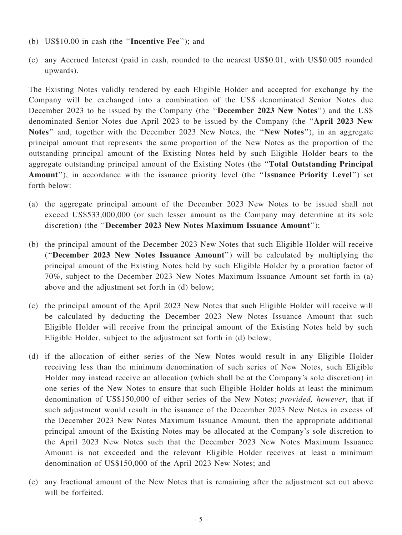- (b) US\$10.00 in cash (the ''Incentive Fee''); and
- (c) any Accrued Interest (paid in cash, rounded to the nearest US\$0.01, with US\$0.005 rounded upwards).

The Existing Notes validly tendered by each Eligible Holder and accepted for exchange by the Company will be exchanged into a combination of the US\$ denominated Senior Notes due December 2023 to be issued by the Company (the "December 2023 New Notes") and the US\$ denominated Senior Notes due April 2023 to be issued by the Company (the ''April 2023 New Notes" and, together with the December 2023 New Notes, the "New Notes"), in an aggregate principal amount that represents the same proportion of the New Notes as the proportion of the outstanding principal amount of the Existing Notes held by such Eligible Holder bears to the aggregate outstanding principal amount of the Existing Notes (the ''Total Outstanding Principal Amount"), in accordance with the issuance priority level (the "Issuance Priority Level") set forth below:

- (a) the aggregate principal amount of the December 2023 New Notes to be issued shall not exceed US\$533,000,000 (or such lesser amount as the Company may determine at its sole discretion) (the ''December 2023 New Notes Maximum Issuance Amount'');
- (b) the principal amount of the December 2023 New Notes that such Eligible Holder will receive (''December 2023 New Notes Issuance Amount'') will be calculated by multiplying the principal amount of the Existing Notes held by such Eligible Holder by a proration factor of 70%, subject to the December 2023 New Notes Maximum Issuance Amount set forth in (a) above and the adjustment set forth in (d) below;
- (c) the principal amount of the April 2023 New Notes that such Eligible Holder will receive will be calculated by deducting the December 2023 New Notes Issuance Amount that such Eligible Holder will receive from the principal amount of the Existing Notes held by such Eligible Holder, subject to the adjustment set forth in (d) below;
- (d) if the allocation of either series of the New Notes would result in any Eligible Holder receiving less than the minimum denomination of such series of New Notes, such Eligible Holder may instead receive an allocation (which shall be at the Company's sole discretion) in one series of the New Notes to ensure that such Eligible Holder holds at least the minimum denomination of US\$150,000 of either series of the New Notes; provided, however, that if such adjustment would result in the issuance of the December 2023 New Notes in excess of the December 2023 New Notes Maximum Issuance Amount, then the appropriate additional principal amount of the Existing Notes may be allocated at the Company's sole discretion to the April 2023 New Notes such that the December 2023 New Notes Maximum Issuance Amount is not exceeded and the relevant Eligible Holder receives at least a minimum denomination of US\$150,000 of the April 2023 New Notes; and
- (e) any fractional amount of the New Notes that is remaining after the adjustment set out above will be forfeited.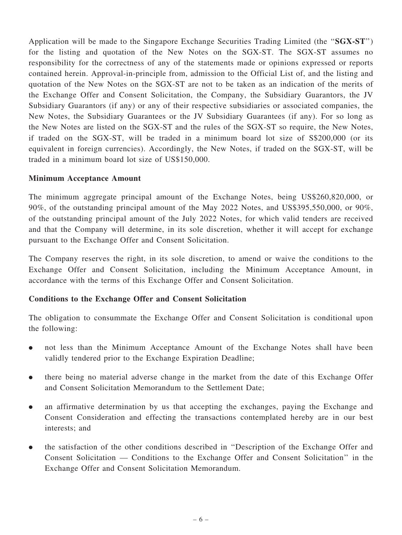Application will be made to the Singapore Exchange Securities Trading Limited (the ''SGX-ST'') for the listing and quotation of the New Notes on the SGX-ST. The SGX-ST assumes no responsibility for the correctness of any of the statements made or opinions expressed or reports contained herein. Approval-in-principle from, admission to the Official List of, and the listing and quotation of the New Notes on the SGX-ST are not to be taken as an indication of the merits of the Exchange Offer and Consent Solicitation, the Company, the Subsidiary Guarantors, the JV Subsidiary Guarantors (if any) or any of their respective subsidiaries or associated companies, the New Notes, the Subsidiary Guarantees or the JV Subsidiary Guarantees (if any). For so long as the New Notes are listed on the SGX-ST and the rules of the SGX-ST so require, the New Notes, if traded on the SGX-ST, will be traded in a minimum board lot size of S\$200,000 (or its equivalent in foreign currencies). Accordingly, the New Notes, if traded on the SGX-ST, will be traded in a minimum board lot size of US\$150,000.

## Minimum Acceptance Amount

The minimum aggregate principal amount of the Exchange Notes, being US\$260,820,000, or 90%, of the outstanding principal amount of the May 2022 Notes, and US\$395,550,000, or 90%, of the outstanding principal amount of the July 2022 Notes, for which valid tenders are received and that the Company will determine, in its sole discretion, whether it will accept for exchange pursuant to the Exchange Offer and Consent Solicitation.

The Company reserves the right, in its sole discretion, to amend or waive the conditions to the Exchange Offer and Consent Solicitation, including the Minimum Acceptance Amount, in accordance with the terms of this Exchange Offer and Consent Solicitation.

## Conditions to the Exchange Offer and Consent Solicitation

The obligation to consummate the Exchange Offer and Consent Solicitation is conditional upon the following:

- . not less than the Minimum Acceptance Amount of the Exchange Notes shall have been validly tendered prior to the Exchange Expiration Deadline;
- . there being no material adverse change in the market from the date of this Exchange Offer and Consent Solicitation Memorandum to the Settlement Date;
- . an affirmative determination by us that accepting the exchanges, paying the Exchange and Consent Consideration and effecting the transactions contemplated hereby are in our best interests; and
- . the satisfaction of the other conditions described in ''Description of the Exchange Offer and Consent Solicitation — Conditions to the Exchange Offer and Consent Solicitation'' in the Exchange Offer and Consent Solicitation Memorandum.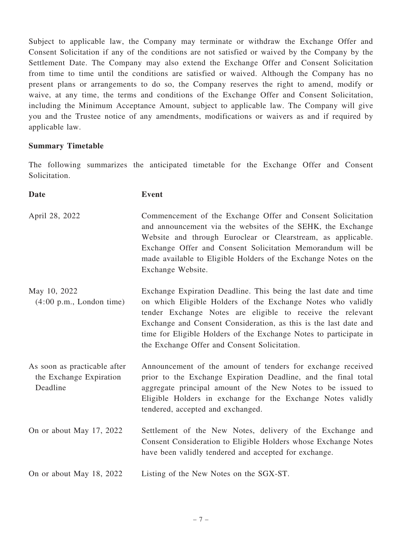Subject to applicable law, the Company may terminate or withdraw the Exchange Offer and Consent Solicitation if any of the conditions are not satisfied or waived by the Company by the Settlement Date. The Company may also extend the Exchange Offer and Consent Solicitation from time to time until the conditions are satisfied or waived. Although the Company has no present plans or arrangements to do so, the Company reserves the right to amend, modify or waive, at any time, the terms and conditions of the Exchange Offer and Consent Solicitation, including the Minimum Acceptance Amount, subject to applicable law. The Company will give you and the Trustee notice of any amendments, modifications or waivers as and if required by applicable law.

#### Summary Timetable

The following summarizes the anticipated timetable for the Exchange Offer and Consent Solicitation.

| <b>Date</b>                                                         | <b>Event</b>                                                                                                                                                                                                                                                                                                                                                                          |
|---------------------------------------------------------------------|---------------------------------------------------------------------------------------------------------------------------------------------------------------------------------------------------------------------------------------------------------------------------------------------------------------------------------------------------------------------------------------|
| April 28, 2022                                                      | Commencement of the Exchange Offer and Consent Solicitation<br>and announcement via the websites of the SEHK, the Exchange<br>Website and through Euroclear or Clearstream, as applicable.<br>Exchange Offer and Consent Solicitation Memorandum will be<br>made available to Eligible Holders of the Exchange Notes on the<br>Exchange Website.                                      |
| May 10, 2022<br>$(4:00 \text{ p.m.}, \text{London time})$           | Exchange Expiration Deadline. This being the last date and time<br>on which Eligible Holders of the Exchange Notes who validly<br>tender Exchange Notes are eligible to receive the relevant<br>Exchange and Consent Consideration, as this is the last date and<br>time for Eligible Holders of the Exchange Notes to participate in<br>the Exchange Offer and Consent Solicitation. |
| As soon as practicable after<br>the Exchange Expiration<br>Deadline | Announcement of the amount of tenders for exchange received<br>prior to the Exchange Expiration Deadline, and the final total<br>aggregate principal amount of the New Notes to be issued to<br>Eligible Holders in exchange for the Exchange Notes validly<br>tendered, accepted and exchanged.                                                                                      |
| On or about May 17, 2022                                            | Settlement of the New Notes, delivery of the Exchange and<br>Consent Consideration to Eligible Holders whose Exchange Notes<br>have been validly tendered and accepted for exchange.                                                                                                                                                                                                  |
| On or about May 18, 2022                                            | Listing of the New Notes on the SGX-ST.                                                                                                                                                                                                                                                                                                                                               |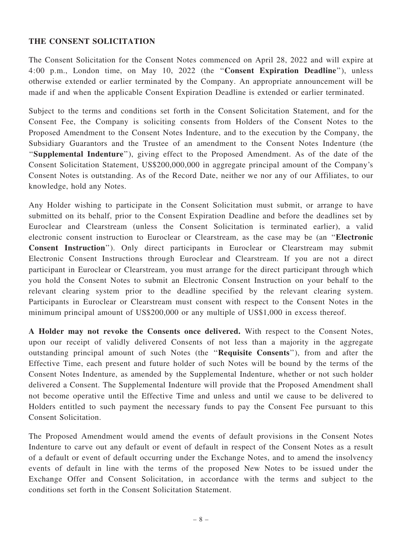## THE CONSENT SOLICITATION

The Consent Solicitation for the Consent Notes commenced on April 28, 2022 and will expire at 4:00 p.m., London time, on May 10, 2022 (the ''Consent Expiration Deadline''), unless otherwise extended or earlier terminated by the Company. An appropriate announcement will be made if and when the applicable Consent Expiration Deadline is extended or earlier terminated.

Subject to the terms and conditions set forth in the Consent Solicitation Statement, and for the Consent Fee, the Company is soliciting consents from Holders of the Consent Notes to the Proposed Amendment to the Consent Notes Indenture, and to the execution by the Company, the Subsidiary Guarantors and the Trustee of an amendment to the Consent Notes Indenture (the "Supplemental Indenture"), giving effect to the Proposed Amendment. As of the date of the Consent Solicitation Statement, US\$200,000,000 in aggregate principal amount of the Company's Consent Notes is outstanding. As of the Record Date, neither we nor any of our Affiliates, to our knowledge, hold any Notes.

Any Holder wishing to participate in the Consent Solicitation must submit, or arrange to have submitted on its behalf, prior to the Consent Expiration Deadline and before the deadlines set by Euroclear and Clearstream (unless the Consent Solicitation is terminated earlier), a valid electronic consent instruction to Euroclear or Clearstream, as the case may be (an ''Electronic Consent Instruction''). Only direct participants in Euroclear or Clearstream may submit Electronic Consent Instructions through Euroclear and Clearstream. If you are not a direct participant in Euroclear or Clearstream, you must arrange for the direct participant through which you hold the Consent Notes to submit an Electronic Consent Instruction on your behalf to the relevant clearing system prior to the deadline specified by the relevant clearing system. Participants in Euroclear or Clearstream must consent with respect to the Consent Notes in the minimum principal amount of US\$200,000 or any multiple of US\$1,000 in excess thereof.

A Holder may not revoke the Consents once delivered. With respect to the Consent Notes, upon our receipt of validly delivered Consents of not less than a majority in the aggregate outstanding principal amount of such Notes (the ''Requisite Consents''), from and after the Effective Time, each present and future holder of such Notes will be bound by the terms of the Consent Notes Indenture, as amended by the Supplemental Indenture, whether or not such holder delivered a Consent. The Supplemental Indenture will provide that the Proposed Amendment shall not become operative until the Effective Time and unless and until we cause to be delivered to Holders entitled to such payment the necessary funds to pay the Consent Fee pursuant to this Consent Solicitation.

The Proposed Amendment would amend the events of default provisions in the Consent Notes Indenture to carve out any default or event of default in respect of the Consent Notes as a result of a default or event of default occurring under the Exchange Notes, and to amend the insolvency events of default in line with the terms of the proposed New Notes to be issued under the Exchange Offer and Consent Solicitation, in accordance with the terms and subject to the conditions set forth in the Consent Solicitation Statement.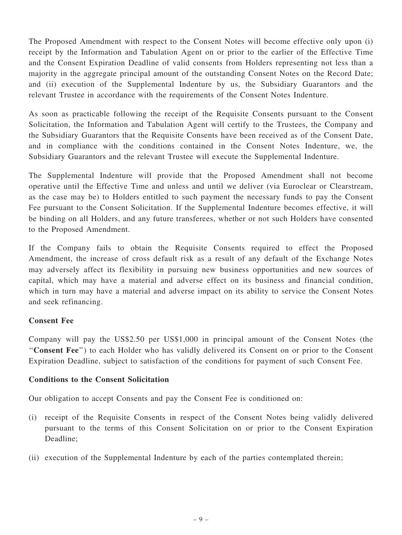The Proposed Amendment with respect to the Consent Notes will become effective only upon (i) receipt by the Information and Tabulation Agent on or prior to the earlier of the Effective Time and the Consent Expiration Deadline of valid consents from Holders representing not less than a majority in the aggregate principal amount of the outstanding Consent Notes on the Record Date; and (ii) execution of the Supplemental Indenture by us, the Subsidiary Guarantors and the relevant Trustee in accordance with the requirements of the Consent Notes Indenture.

As soon as practicable following the receipt of the Requisite Consents pursuant to the Consent Solicitation, the Information and Tabulation Agent will certify to the Trustees, the Company and the Subsidiary Guarantors that the Requisite Consents have been received as of the Consent Date, and in compliance with the conditions contained in the Consent Notes Indenture, we, the Subsidiary Guarantors and the relevant Trustee will execute the Supplemental Indenture.

The Supplemental Indenture will provide that the Proposed Amendment shall not become operative until the Effective Time and unless and until we deliver (via Euroclear or Clearstream, as the case may be) to Holders entitled to such payment the necessary funds to pay the Consent Fee pursuant to the Consent Solicitation. If the Supplemental Indenture becomes effective, it will be binding on all Holders, and any future transferees, whether or not such Holders have consented to the Proposed Amendment.

If the Company fails to obtain the Requisite Consents required to effect the Proposed Amendment, the increase of cross default risk as a result of any default of the Exchange Notes may adversely affect its flexibility in pursuing new business opportunities and new sources of capital, which may have a material and adverse effect on its business and financial condition, which in turn may have a material and adverse impact on its ability to service the Consent Notes and seek refinancing.

## Consent Fee

Company will pay the US\$2.50 per US\$1,000 in principal amount of the Consent Notes (the ''Consent Fee'') to each Holder who has validly delivered its Consent on or prior to the Consent Expiration Deadline, subject to satisfaction of the conditions for payment of such Consent Fee.

#### Conditions to the Consent Solicitation

Our obligation to accept Consents and pay the Consent Fee is conditioned on:

- (i) receipt of the Requisite Consents in respect of the Consent Notes being validly delivered pursuant to the terms of this Consent Solicitation on or prior to the Consent Expiration Deadline;
- (ii) execution of the Supplemental Indenture by each of the parties contemplated therein;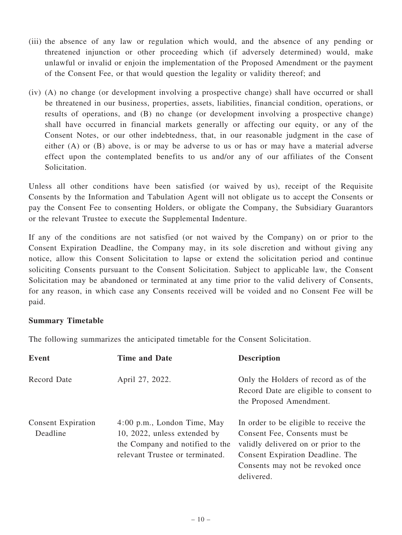- (iii) the absence of any law or regulation which would, and the absence of any pending or threatened injunction or other proceeding which (if adversely determined) would, make unlawful or invalid or enjoin the implementation of the Proposed Amendment or the payment of the Consent Fee, or that would question the legality or validity thereof; and
- (iv) (A) no change (or development involving a prospective change) shall have occurred or shall be threatened in our business, properties, assets, liabilities, financial condition, operations, or results of operations, and (B) no change (or development involving a prospective change) shall have occurred in financial markets generally or affecting our equity, or any of the Consent Notes, or our other indebtedness, that, in our reasonable judgment in the case of either (A) or (B) above, is or may be adverse to us or has or may have a material adverse effect upon the contemplated benefits to us and/or any of our affiliates of the Consent Solicitation.

Unless all other conditions have been satisfied (or waived by us), receipt of the Requisite Consents by the Information and Tabulation Agent will not obligate us to accept the Consents or pay the Consent Fee to consenting Holders, or obligate the Company, the Subsidiary Guarantors or the relevant Trustee to execute the Supplemental Indenture.

If any of the conditions are not satisfied (or not waived by the Company) on or prior to the Consent Expiration Deadline, the Company may, in its sole discretion and without giving any notice, allow this Consent Solicitation to lapse or extend the solicitation period and continue soliciting Consents pursuant to the Consent Solicitation. Subject to applicable law, the Consent Solicitation may be abandoned or terminated at any time prior to the valid delivery of Consents, for any reason, in which case any Consents received will be voided and no Consent Fee will be paid.

## Summary Timetable

The following summarizes the anticipated timetable for the Consent Solicitation.

| Event                                 | <b>Time and Date</b>                                                                                                                | <b>Description</b>                                                                                                                                                                                    |
|---------------------------------------|-------------------------------------------------------------------------------------------------------------------------------------|-------------------------------------------------------------------------------------------------------------------------------------------------------------------------------------------------------|
| Record Date                           | April 27, 2022.                                                                                                                     | Only the Holders of record as of the<br>Record Date are eligible to consent to<br>the Proposed Amendment.                                                                                             |
| <b>Consent Expiration</b><br>Deadline | $4:00$ p.m., London Time, May<br>10, 2022, unless extended by<br>the Company and notified to the<br>relevant Trustee or terminated. | In order to be eligible to receive the<br>Consent Fee, Consents must be<br>validly delivered on or prior to the<br>Consent Expiration Deadline. The<br>Consents may not be revoked once<br>delivered. |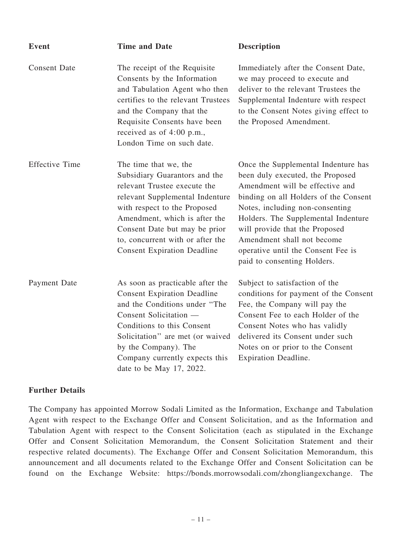| <b>Event</b>          | <b>Time and Date</b>                                                                                                                                                                                                                                                                                  | <b>Description</b>                                                                                                                                                                                                                                                                                                                                                 |
|-----------------------|-------------------------------------------------------------------------------------------------------------------------------------------------------------------------------------------------------------------------------------------------------------------------------------------------------|--------------------------------------------------------------------------------------------------------------------------------------------------------------------------------------------------------------------------------------------------------------------------------------------------------------------------------------------------------------------|
| <b>Consent Date</b>   | The receipt of the Requisite<br>Consents by the Information<br>and Tabulation Agent who then<br>certifies to the relevant Trustees<br>and the Company that the<br>Requisite Consents have been<br>received as of 4:00 p.m.,<br>London Time on such date.                                              | Immediately after the Consent Date,<br>we may proceed to execute and<br>deliver to the relevant Trustees the<br>Supplemental Indenture with respect<br>to the Consent Notes giving effect to<br>the Proposed Amendment.                                                                                                                                            |
| <b>Effective Time</b> | The time that we, the<br>Subsidiary Guarantors and the<br>relevant Trustee execute the<br>relevant Supplemental Indenture<br>with respect to the Proposed<br>Amendment, which is after the<br>Consent Date but may be prior<br>to, concurrent with or after the<br><b>Consent Expiration Deadline</b> | Once the Supplemental Indenture has<br>been duly executed, the Proposed<br>Amendment will be effective and<br>binding on all Holders of the Consent<br>Notes, including non-consenting<br>Holders. The Supplemental Indenture<br>will provide that the Proposed<br>Amendment shall not become<br>operative until the Consent Fee is<br>paid to consenting Holders. |
| Payment Date          | As soon as practicable after the<br><b>Consent Expiration Deadline</b><br>and the Conditions under "The<br>Consent Solicitation -<br>Conditions to this Consent<br>Solicitation" are met (or waived<br>by the Company). The<br>Company currently expects this<br>date to be May 17, 2022.             | Subject to satisfaction of the<br>conditions for payment of the Consent<br>Fee, the Company will pay the<br>Consent Fee to each Holder of the<br>Consent Notes who has validly<br>delivered its Consent under such<br>Notes on or prior to the Consent<br>Expiration Deadline.                                                                                     |

#### Further Details

The Company has appointed Morrow Sodali Limited as the Information, Exchange and Tabulation Agent with respect to the Exchange Offer and Consent Solicitation, and as the Information and Tabulation Agent with respect to the Consent Solicitation (each as stipulated in the Exchange Offer and Consent Solicitation Memorandum, the Consent Solicitation Statement and their respective related documents). The Exchange Offer and Consent Solicitation Memorandum, this announcement and all documents related to the Exchange Offer and Consent Solicitation can be found on the Exchange Website: https://bonds.morrowsodali.com/zhongliangexchange. The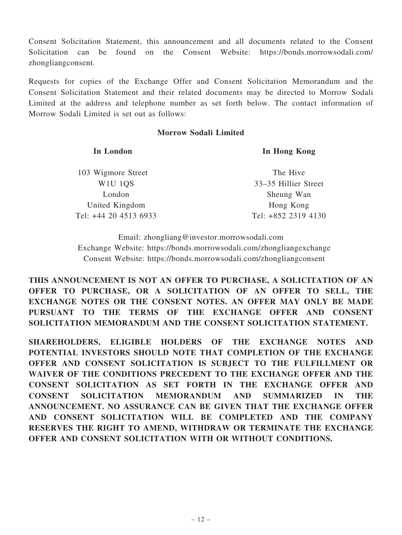Consent Solicitation Statement, this announcement and all documents related to the Consent Solicitation can be found on the Consent Website: https://bonds.morrowsodali.com/ zhongliangconsent.

Requests for copies of the Exchange Offer and Consent Solicitation Memorandum and the Consent Solicitation Statement and their related documents may be directed to Morrow Sodali Limited at the address and telephone number as set forth below. The contact information of Morrow Sodali Limited is set out as follows:

#### Morrow Sodali Limited

| In London                                    | In Hong Kong         |
|----------------------------------------------|----------------------|
| 103 Wigmore Street                           | The Hive             |
| W <sub>1</sub> U <sub>1</sub> Q <sub>S</sub> | 33–35 Hillier Street |
| London                                       | Sheung Wan           |
| United Kingdom                               | Hong Kong            |
| Tel: +44 20 4513 6933                        | Tel: +852 2319 4130  |

Email: zhongliang@investor.morrowsodali.com Exchange Website: https://bonds.morrowsodali.com/zhongliangexchange Consent Website: https://bonds.morrowsodali.com/zhongliangconsent

THIS ANNOUNCEMENT IS NOT AN OFFER TO PURCHASE, A SOLICITATION OF AN OFFER TO PURCHASE, OR A SOLICITATION OF AN OFFER TO SELL, THE EXCHANGE NOTES OR THE CONSENT NOTES. AN OFFER MAY ONLY BE MADE PURSUANT TO THE TERMS OF THE EXCHANGE OFFER AND CONSENT SOLICITATION MEMORANDUM AND THE CONSENT SOLICITATION STATEMENT.

SHAREHOLDERS, ELIGIBLE HOLDERS OF THE EXCHANGE NOTES AND POTENTIAL INVESTORS SHOULD NOTE THAT COMPLETION OF THE EXCHANGE OFFER AND CONSENT SOLICITATION IS SUBJECT TO THE FULFILLMENT OR WAIVER OF THE CONDITIONS PRECEDENT TO THE EXCHANGE OFFER AND THE CONSENT SOLICITATION AS SET FORTH IN THE EXCHANGE OFFER AND CONSENT SOLICITATION MEMORANDUM AND SUMMARIZED IN THE ANNOUNCEMENT. NO ASSURANCE CAN BE GIVEN THAT THE EXCHANGE OFFER AND CONSENT SOLICITATION WILL BE COMPLETED AND THE COMPANY RESERVES THE RIGHT TO AMEND, WITHDRAW OR TERMINATE THE EXCHANGE OFFER AND CONSENT SOLICITATION WITH OR WITHOUT CONDITIONS.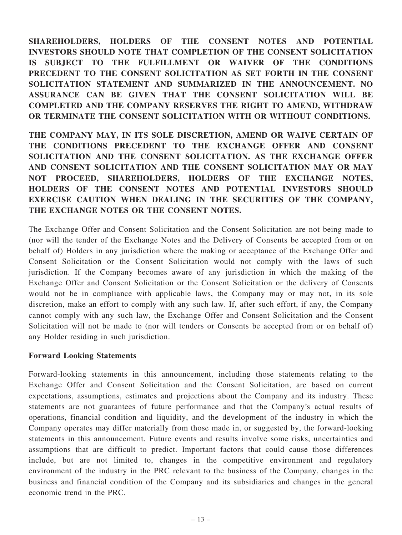SHAREHOLDERS, HOLDERS OF THE CONSENT NOTES AND POTENTIAL INVESTORS SHOULD NOTE THAT COMPLETION OF THE CONSENT SOLICITATION IS SUBJECT TO THE FULFILLMENT OR WAIVER OF THE CONDITIONS PRECEDENT TO THE CONSENT SOLICITATION AS SET FORTH IN THE CONSENT SOLICITATION STATEMENT AND SUMMARIZED IN THE ANNOUNCEMENT. NO ASSURANCE CAN BE GIVEN THAT THE CONSENT SOLICITATION WILL BE COMPLETED AND THE COMPANY RESERVES THE RIGHT TO AMEND, WITHDRAW OR TERMINATE THE CONSENT SOLICITATION WITH OR WITHOUT CONDITIONS.

THE COMPANY MAY, IN ITS SOLE DISCRETION, AMEND OR WAIVE CERTAIN OF THE CONDITIONS PRECEDENT TO THE EXCHANGE OFFER AND CONSENT SOLICITATION AND THE CONSENT SOLICITATION. AS THE EXCHANGE OFFER AND CONSENT SOLICITATION AND THE CONSENT SOLICITATION MAY OR MAY NOT PROCEED, SHAREHOLDERS, HOLDERS OF THE EXCHANGE NOTES, HOLDERS OF THE CONSENT NOTES AND POTENTIAL INVESTORS SHOULD EXERCISE CAUTION WHEN DEALING IN THE SECURITIES OF THE COMPANY, THE EXCHANGE NOTES OR THE CONSENT NOTES.

The Exchange Offer and Consent Solicitation and the Consent Solicitation are not being made to (nor will the tender of the Exchange Notes and the Delivery of Consents be accepted from or on behalf of) Holders in any jurisdiction where the making or acceptance of the Exchange Offer and Consent Solicitation or the Consent Solicitation would not comply with the laws of such jurisdiction. If the Company becomes aware of any jurisdiction in which the making of the Exchange Offer and Consent Solicitation or the Consent Solicitation or the delivery of Consents would not be in compliance with applicable laws, the Company may or may not, in its sole discretion, make an effort to comply with any such law. If, after such effort, if any, the Company cannot comply with any such law, the Exchange Offer and Consent Solicitation and the Consent Solicitation will not be made to (nor will tenders or Consents be accepted from or on behalf of) any Holder residing in such jurisdiction.

## Forward Looking Statements

Forward-looking statements in this announcement, including those statements relating to the Exchange Offer and Consent Solicitation and the Consent Solicitation, are based on current expectations, assumptions, estimates and projections about the Company and its industry. These statements are not guarantees of future performance and that the Company's actual results of operations, financial condition and liquidity, and the development of the industry in which the Company operates may differ materially from those made in, or suggested by, the forward-looking statements in this announcement. Future events and results involve some risks, uncertainties and assumptions that are difficult to predict. Important factors that could cause those differences include, but are not limited to, changes in the competitive environment and regulatory environment of the industry in the PRC relevant to the business of the Company, changes in the business and financial condition of the Company and its subsidiaries and changes in the general economic trend in the PRC.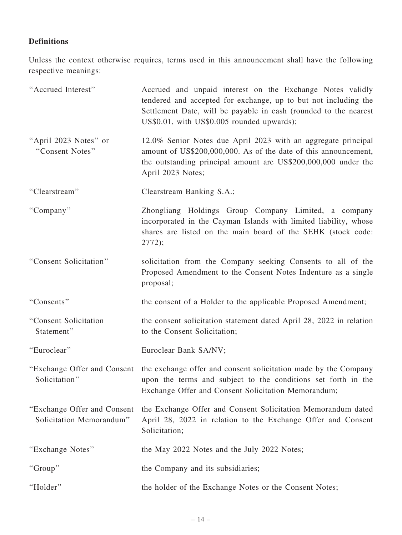# Definitions

Unless the context otherwise requires, terms used in this announcement shall have the following respective meanings:

| "Accrued Interest"                                       | Accrued and unpaid interest on the Exchange Notes validly<br>tendered and accepted for exchange, up to but not including the<br>Settlement Date, will be payable in cash (rounded to the nearest<br>US\$0.01, with US\$0.005 rounded upwards); |
|----------------------------------------------------------|------------------------------------------------------------------------------------------------------------------------------------------------------------------------------------------------------------------------------------------------|
| "April 2023 Notes" or<br>"Consent Notes"                 | 12.0% Senior Notes due April 2023 with an aggregate principal<br>amount of US\$200,000,000. As of the date of this announcement,<br>the outstanding principal amount are US\$200,000,000 under the<br>April 2023 Notes;                        |
| "Clearstream"                                            | Clearstream Banking S.A.;                                                                                                                                                                                                                      |
| "Company"                                                | Zhongliang Holdings Group Company Limited, a company<br>incorporated in the Cayman Islands with limited liability, whose<br>shares are listed on the main board of the SEHK (stock code:<br>2772);                                             |
| "Consent Solicitation"                                   | solicitation from the Company seeking Consents to all of the<br>Proposed Amendment to the Consent Notes Indenture as a single<br>proposal;                                                                                                     |
| "Consents"                                               | the consent of a Holder to the applicable Proposed Amendment;                                                                                                                                                                                  |
| "Consent Solicitation<br>Statement"                      | the consent solicitation statement dated April 28, 2022 in relation<br>to the Consent Solicitation;                                                                                                                                            |
| "Euroclear"                                              | Euroclear Bank SA/NV;                                                                                                                                                                                                                          |
| "Exchange Offer and Consent"<br>Solicitation"            | the exchange offer and consent solicitation made by the Company<br>upon the terms and subject to the conditions set forth in the<br>Exchange Offer and Consent Solicitation Memorandum;                                                        |
| "Exchange Offer and Consent"<br>Solicitation Memorandum" | the Exchange Offer and Consent Solicitation Memorandum dated<br>April 28, 2022 in relation to the Exchange Offer and Consent<br>Solicitation;                                                                                                  |
| "Exchange Notes"                                         | the May 2022 Notes and the July 2022 Notes;                                                                                                                                                                                                    |
| "Group"                                                  | the Company and its subsidiaries;                                                                                                                                                                                                              |
| "Holder"                                                 | the holder of the Exchange Notes or the Consent Notes;                                                                                                                                                                                         |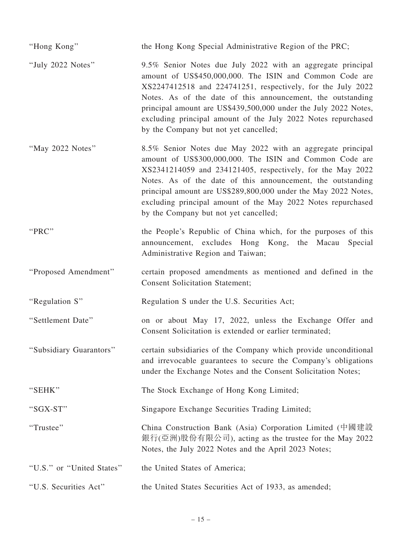| "Hong Kong"               | the Hong Kong Special Administrative Region of the PRC;                                                                                                                                                                                                                                                                                                                                                                           |
|---------------------------|-----------------------------------------------------------------------------------------------------------------------------------------------------------------------------------------------------------------------------------------------------------------------------------------------------------------------------------------------------------------------------------------------------------------------------------|
| "July 2022 Notes"         | 9.5% Senior Notes due July 2022 with an aggregate principal<br>amount of US\$450,000,000. The ISIN and Common Code are<br>XS2247412518 and 224741251, respectively, for the July 2022<br>Notes. As of the date of this announcement, the outstanding<br>principal amount are US\$439,500,000 under the July 2022 Notes,<br>excluding principal amount of the July 2022 Notes repurchased<br>by the Company but not yet cancelled; |
| "May 2022 Notes"          | 8.5% Senior Notes due May 2022 with an aggregate principal<br>amount of US\$300,000,000. The ISIN and Common Code are<br>XS2341214059 and 234121405, respectively, for the May 2022<br>Notes. As of the date of this announcement, the outstanding<br>principal amount are US\$289,800,000 under the May 2022 Notes,<br>excluding principal amount of the May 2022 Notes repurchased<br>by the Company but not yet cancelled;     |
| "PRC"                     | the People's Republic of China which, for the purposes of this<br>announcement, excludes Hong Kong, the Macau<br>Special<br>Administrative Region and Taiwan;                                                                                                                                                                                                                                                                     |
| "Proposed Amendment"      | certain proposed amendments as mentioned and defined in the<br><b>Consent Solicitation Statement;</b>                                                                                                                                                                                                                                                                                                                             |
| "Regulation S"            | Regulation S under the U.S. Securities Act;                                                                                                                                                                                                                                                                                                                                                                                       |
| "Settlement Date"         | on or about May 17, 2022, unless the Exchange Offer and<br>Consent Solicitation is extended or earlier terminated;                                                                                                                                                                                                                                                                                                                |
| "Subsidiary Guarantors"   | certain subsidiaries of the Company which provide unconditional<br>and irrevocable guarantees to secure the Company's obligations<br>under the Exchange Notes and the Consent Solicitation Notes;                                                                                                                                                                                                                                 |
| "SEHK"                    | The Stock Exchange of Hong Kong Limited;                                                                                                                                                                                                                                                                                                                                                                                          |
| "SGX-ST"                  | Singapore Exchange Securities Trading Limited;                                                                                                                                                                                                                                                                                                                                                                                    |
| "Trustee"                 | China Construction Bank (Asia) Corporation Limited (中國建設<br>銀行(亞洲)股份有限公司), acting as the trustee for the May 2022<br>Notes, the July 2022 Notes and the April 2023 Notes;                                                                                                                                                                                                                                                         |
| "U.S." or "United States" | the United States of America;                                                                                                                                                                                                                                                                                                                                                                                                     |
| "U.S. Securities Act"     | the United States Securities Act of 1933, as amended;                                                                                                                                                                                                                                                                                                                                                                             |